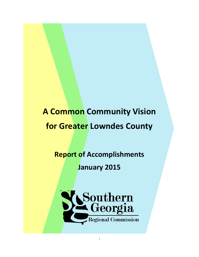# **A Common Community Vision for Greater Lowndes County**

## **Report of Accomplishments**

## **January 2015**

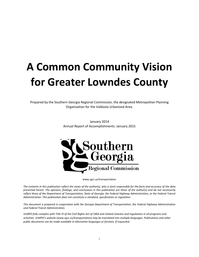# **A Common Community Vision for Greater Lowndes County**

Prepared by the Southern Georgia Regional Commission, the designated Metropolitan Planning Organization for the Valdosta Urbanized Area.

> January 2014 Annual Report of Accomplishments: January 2015



www.sgrc.us/transportation

*The contents in this publication reflect the views of the author(s), who is (are) responsible for the facts and accuracy of the data presented herein. The opinions, findings, and conclusions in this publication are those of the author(s) and do not necessarily reflect those of the Department of Transportation, State of Georgia, the Federal Highway Administration, or the Federal Transit Administration. This publication does not constitute a standard, specification or regulation.* 

*This document is prepared in cooperation with the Georgia Department of Transportation, the Federal Highway Administration and Federal Transit Administration.*

*VLMPO fully complies with Title VI of the Civil Rights Act of 1964 and related statutes and regulations in all programs and activities. VLMPO's website (www.sgrc.us/transportation) may be translated into multiple languages. Publications and other public documents can be made available in alternative languages or formats, if requested.*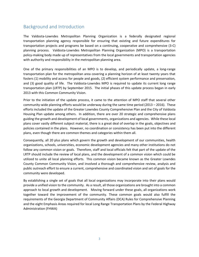#### Background and Introduction

The Valdosta-Lowndes Metropolitan Planning Organization is a federally designated regional transportation planning agency responsible for ensuring that existing and future expenditures for transportation projects and programs be based on a continuing, cooperative and comprehensive (3-C) planning process. Valdosta-Lowndes Metropolitan Planning Organization (MPO) is a transportation policy-making body made up of representatives from the local governments and transportation agencies with authority and responsibility in the metropolitan planning area.

One of the primary responsibilities of an MPO is to develop, and periodically update, a long-range transportation plan for the metropolitan area covering a planning horizon of at least twenty years that fosters (1) mobility and access for people and goods, (2) efficient system performance and preservation, and (3) good quality of life. The Valdosta-Lowndes MPO is required to update its current long range transportation plan (LRTP) by September 2015. The initial phases of this update process began in early 2013 with this Common Community Vision.

Prior to the initiation of the update process, it came to the attention of MPO staff that several other community-wide planning efforts would be underway during the same time period (2013 – 2016). These efforts included the update of the Greater Lowndes County Comprehensive Plan and the City of Valdosta Housing Plan update among others. In addition, there are over 20 strategic and comprehensive plans guiding the growth and development of local governments, organizations and agencies. While these local plans cover vastly different subject material, there is a great deal of overlap in the goals, objectives and policies contained in the plans. However, no coordination or consistency has been put into the different plans, even though there are common themes and categories within them all.

Consequently, all 20 plus plans which govern the growth and development of our communities, health organizations, schools, universities, economic development agencies and many other institutions do not follow any common vision or goals. Therefore, staff and local officials felt that part of the update of the LRTP should include the review of local plans, and the development of a common vision which could be utilized to unite all local planning efforts. This common vision became known as the Greater Lowndes County Common Community Vision, and involved a thorough and comprehensive review, analysis and public outreach effort to ensure a current, comprehensive and coordinated vision and set of goals for the community were developed.

By establishing a single set of goals that all local organizations may incorporate into their plans would provide a unified vision to the community. As a result, all those organizations are brought into a common approach to local growth and development. Moving forward under these goals, all organizations work together toward the improvement of the community. These common goals would also fulfill the requirements of the Georgia Department of Community Affairs (DCA) Rules for Comprehensive Planning and the eight Emphasis Areas required for local Long Range Transportation Plans by the Federal Highway Administration (FHWA)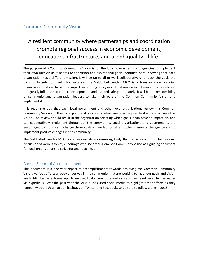#### Common Community Vision

### A resilient community where partnerships and coordination promote regional success in economic development, education, infrastructure, and a high quality of life.

The purpose of a Common Community Vision is for the local governments and agencies to implement their own mission as it relates to the vision and aspirational goals identified here. Knowing that each organization has a different mission, it will be up to all to work collaboratively to reach the goals the community sets for itself. For instance, the Valdosta-Lowndes MPO is a transportation planning organization that can have little impact on housing policy or cultural resources. However, transportation can greatly influence economic development, land use and safety. Ultimately, it will be the responsibility of community and organization leaders to take their part of the Common Community Vision and implement it.

It is recommended that each local government and other local organizations review this Common Community Vision and their own plans and policies to determine how they can best work to achieve this Vision. The review should result in the organization selecting which goals it can have an impact on, and can cooperatively implement throughout the community. Local organizations and governments are encouraged to modify and change these goals as needed to better fit the mission of the agency and to implement positive changes in the community.

The Valdosta-Lowndes MPO, as a regional decision-making body that provides a forum for regional discussion of various topics, encourages the use of this Common Community Vision as a guiding document for local organizations to strive for and to achieve.

#### Annual Report of Accomplishments

This document is a one-year report of accomplishments towards achieving the Common Community Vision. Various efforts already underway in the community that are working to meet our goals and Vision are highlighted here. News reports are used to document these efforts and can be retrieved by the reader via hyperlinks. Over the past year the VLMPO has used social media to highlight other efforts as they happen with the #ccvinaction hashtags on Twitter and Facebook, so be sure to follow along in 2015.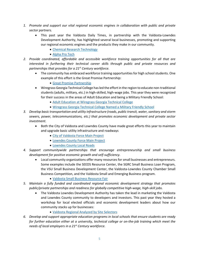- *1. Promote and support our vital regional economic engines in collaboration with public and private sector partners.*
	- This past year the Valdosta Daily Times, in partnership with the Valdosta-Lowndes Development Authority, has highlighted several local businesses, promoting and supporting our regional economic engines and the products they make in our community.
		- [Chemical Research Technology](http://www.valdostadailytimes.com/news/business/made-in-valdosta-chemical-research-technology/article_43a78c02-7779-11e4-a986-130cd65e6e05.html)
		- [Alpha Pro Tech](http://www.valdostadailytimes.com/news/business/made-in-valdosta-alpha-pro-tech/article_75167b18-5bea-11e4-8be2-074d8bbf5193.html)
- *2. Provide coordinated, affordable and accessible workforce training opportunities for all that are interested in furthering their technical career skills through public and private resources and partnerships that provides for a 21st Century workforce.*
	- The community has embraced workforce training opportunities for high school students. One example of this effort is the Great Promise Partnership:
		- [Great Promise Partnership](•%09%20http:/www.valdostadailytimes.com/news/local_news/great-promise-partnership-ready-for-business/article_2ba15dfa-5f22-11e4-b283-337057672e8f.html)
	- Wiregrass Georgia Technical College has led the effort in the region to educate non-traditional students (adults, military, etc.) in high-skilled, high-wage jobs. This year they were recognized for their success in the areas of Adult Education and being a Military Friendly School:
		- [Adult Education at Wiregrass Georgia Technical College](•%09http:/www.wiregrass.edu/news/2014/adult_ed_receives_award.php)
		- [Wiregrass Georgia Technical College Named a Military Friendly School](•%09http:/www.wiregrass.edu/news/2014/wiregrass_awarded_military_friendly_distinction.php)
- *3. Develop basic transportation and utility infrastructure (roads, public transit, water, sanitary and storm sewers, power, telecommunications, etc.) that promotes economic development and private sector investment.* 
	- Both the City of Valdosta and Lowndes County have made great efforts this year to maintain and upgrade basic utility infrastructure and roadways
		- [City of Valdosta Force Main Project](http://www.valdostadailytimes.com/news/local_news/city-breaks-ground-on-force-main-project/article_0fdac3a2-b8b8-5128-b916-74770c17f962.html)
		- [Lowndes County Force Main Project](http://www.valdostadailytimes.com/news/county-commission-awards-force-main-bid/article_5e7e0d16-d6a5-5e0c-a199-66a894e3b638.html)
		- [Lowndes County Local Roads](http://www.valdostadailytimes.com/commission-votes-to-overhaul-local-roads/article_722598da-ab2a-5a4f-848b-f82081132033.html)
- *4. Support communitywide partnerships that encourage entrepreneurship and small business development for positive economic growth and self-sufficiency.*
	- Local community organizations offer many resources for small businesses and entrepreneurs. Some examples include the SEEDS Resource Center, the SGRC Small Business Loan Program, the VSU Small Business Development Center, the Valdosta-Lowndes County Chamber Small Business Competition, and the Valdosta Small and Emerging Business program.
		- [Valdosta Small Business Resource Fair](http://www.valdostadailytimes.com/news/city-of-valdosta-hosts-small-business-resource-fair-aug/article_7d82427d-419f-52cc-b22e-04c7ab6b80a7.html)
- *5. Maintain a fully funded and coordinated regional economic development strategy that promotes public/private partnerships and readiness for globally competitive high-wage, high-skill jobs.*
	- The Valdosta Lowndes Development Authority has taken the lead in marketing the Valdosta and Lowndes County community to developers and investors. This past year they hosted a workshop for local elected officials and economic development leaders about how our community stacks up for businesses:
		- [Valdosta Regional Analyzed by Site Selectors](http://www.valdostadailytimes.com/news/local_news/site-selection-identifies-advantages-challenges-for-valdosta-business/article_859ddea2-28e8-11e4-b047-0019bb2963f4.html)
- *6. Develop and support appropriate education programs in local schools that ensure students are ready for further education either at a university, technical college or on-the-job training which meet the needs of local employers in a 21st Century workforce.*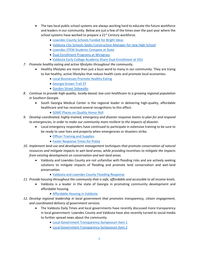- The two local public school systems are always working hard to educate the future workforce and leaders in our community. Below are just a few of the times over the past year where the school systems have worked to prepare a 21<sup>st</sup> Century workforce.
	- Lowndes County Schools [Funded for Bright Ideas](http://www.lowndes.k12.ga.us/District/News/32863-Bright-Ideas-Funded-for-Four-LCS-Teacher.html)
	- Valdosta City Schools [Seeks Construction Manager for new High School](http://www.gocats.org/content.asp?pid=86&id=3437)
	- [Lowndes STEM Students Compete at State](http://www.valdostadailytimes.com/news/education/lowndes-stem-students-represent-state/article_d8e18634-228c-11e4-8140-001a4bcf887a.html)
	- [Dual Enrollment Programs at Wiregrass](•%09http:/www.valdostadailytimes.com/news/year-old-graduates-with-two-associates-degrees/article_38e11876-26e6-11e4-93bf-001a4bcf887a.html)
	- [Valdosta Early College Academy Share Dual Enrollment at VSU](•%09http:/www.valdostadailytimes.com/news/local_news/new-veca-students-join-vsu-dual-enrollment/article_eae32768-993c-56de-99d8-ed3a767d4f24.html)
- *7. Promote healthy eating and active lifestyles throughout the community.*
	- Healthy lifestyles are more than just a buzz word to many in our community. They are trying to live healthy, active lifestyles that reduce health costs and promote local economies.
		- [Local Businesses Promote Healthy Eating](http://www.valdostadailytimes.com/news/business/healthy-choices/article_a913d48d-34b8-5b74-bc60-3953fca57080.html)
		- [Georgia Grown Trail 37](http://www.valdostadailytimes.com/opinion/how-does-georgia-grow/article_80da5824-4376-5809-a3b5-cb35eae2e61f.html)
		- [Gordon Street Sidewalks](http://www.valdostadailytimes.com/news/local_news/gordon-street-getting-new-sidewalk/article_ac358282-3eea-11e4-a29d-7b970c1b216c.html)
- *8. Continue to provide high-quality, locally-based, low-cost healthcare to a growing regional population in Southern Georgia.*
	- South Georgia Medical Center is the regional leader in delivering high-quality, affordable healthcare and has received several recognitions to this effect.
		- **[SGMC Places on Quality Honor Roll](https://www.sgmc.org/Articles/sgmc_places_on_quality_honor_roll.aspx)**
- *9. Develop coordinated, highly-trained, emergency and disaster response teams to plan for and respond to emergencies, in order to make our community more resilient to the impacts of disaster.*
	- Local emergency responders have continued to participate in extensive training to be sure to be ready to save lives and property when emergencies or disasters strike.
		- [Officer Training and Supplies](•%09http:/www.valdostadailytimes.com/news/local_news/military-surplus-used-for-training/article_0d7f649c-695a-11e4-83b5-8f7ae21c9679.html)
		- [Faster Response Times](http://www.valdostadailytimes.com/news/local_news/new-system-helps-police-officers-respond-faster/article_e2697357-54bd-5175-be53-45a462d40ae8.html) for Police
- *10. Implement land use and development management techniques that promote conservation of natural resources and mitigate impacts to wet-land areas, while providing incentives to mitigate the impacts from existing development on conservation and wet-land areas.*
	- Valdosta and Lowndes County are not unfamiliar with flooding risks and are actively seeking solutions to mitigate impacts of flooding and promote land conservation and wet-land preservation.
		- [Valdosta and Lowndes County Flooding Response](http://www.valdostadailytimes.com/news/local_news/road-re-opens-following-flooding/article_6d545d61-19c0-5a50-9f8c-74863e106e81.html)
- *11. Provide housing throughout the community that is safe, affordable and accessible to all income levels.*
	- Valdosta is a leader in the state of Georgia in promoting community development and affordable housing.
		- [Affordable Housing in Valdosta](http://www.valdostadailytimes.com/news/local_news/city-hosts-georgia-institute-of-community-housing-retreat/article_d7d55324-4537-11e4-9601-83acfb6c7fac.html)
- *12. Develop regional leadership in local government that promotes transparency, citizen engagement, and coordinated delivery of government services.*
	- The Valdosta Daily Times and local governments have recently discussed more transparency in local government. Lowndes County and Valdosta have also recently turned to social media to further spread news about the community.
		- [Local Government Transparency Symposium](•%09http:/www.valdostadailytimes.com/news/local_news/local-officials-show-concern-for-government-transparency/article_8a9e296a-729f-11e4-bef3-876c5ee702a0.html) Item 1
		- [Local Government Transparency Symposium Item 2](•%09http:/www.valdostadailytimes.com/news/local_news/lowndes-hosts-open-government-symposium/article_d9463ed8-729d-11e4-a462-6b49231e879a.html)